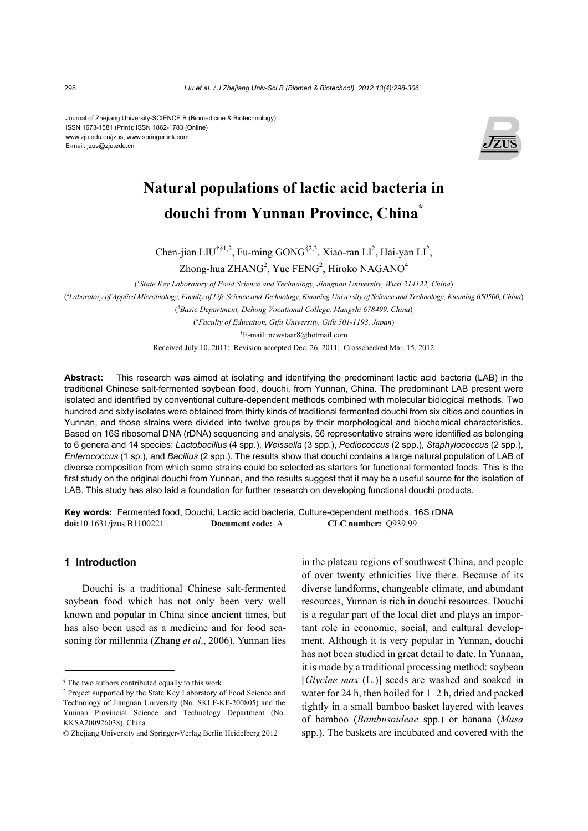Journal of Zhejiang University-SCIENCE B (Biomedicine & Biotechnology) ISSN 1673-1581 (Print); ISSN 1862-1783 (Online) www.zju.edu.cn/jzus; www.springerlink.com E-mail: jzus@zju.edu.cn



# **Natural populations of lactic acid bacteria in douchi from Yunnan Province, China\***

Chen-jian LIU<sup>†§1,2</sup>, Fu-ming GONG<sup>§2,3</sup>, Xiao-ran LI<sup>2</sup>, Hai-yan LI<sup>2</sup>, Zhong-hua ZHANG<sup>2</sup>, Yue FENG<sup>2</sup>, Hiroko NAGANO<sup>4</sup>

( *1 State Key Laboratory of Food Science and Technology, Jiangnan University, Wuxi 214122, China*) ( *2 Laboratory of Applied Microbiology, Faculty of Life Science and Technology, Kunming University of Science and Technology, Kunming 650500, China*) ( *3 Basic Department, Dehong Vocational College, Mangshi 678499, China*) ( *4 Faculty of Education, Gifu University, Gifu 501-1193, Japan*)

† E-mail: newstaar8@hotmail.com

Received July 10, 2011; Revision accepted Dec. 26, 2011; Crosschecked Mar. 15, 2012

**Abstract:** This research was aimed at isolating and identifying the predominant lactic acid bacteria (LAB) in the traditional Chinese salt-fermented soybean food, douchi, from Yunnan, China. The predominant LAB present were isolated and identified by conventional culture-dependent methods combined with molecular biological methods. Two hundred and sixty isolates were obtained from thirty kinds of traditional fermented douchi from six cities and counties in Yunnan, and those strains were divided into twelve groups by their morphological and biochemical characteristics. Based on 16S ribosomal DNA (rDNA) sequencing and analysis, 56 representative strains were identified as belonging to 6 genera and 14 species: *Lactobacillus* (4 spp.), *Weissella* (3 spp.), *Pediococcus* (2 spp.), *Staphylococcus* (2 spp.), *Enterococcus* (1 sp.), and *Bacillus* (2 spp.). The results show that douchi contains a large natural population of LAB of diverse composition from which some strains could be selected as starters for functional fermented foods. This is the first study on the original douchi from Yunnan, and the results suggest that it may be a useful source for the isolation of LAB. This study has also laid a foundation for further research on developing functional douchi products.

**Key words:** Fermented food, Douchi, Lactic acid bacteria, Culture-dependent methods, 16S rDNA **doi:**10.1631/jzus.B1100221 **Document code:** A **CLC number:** Q939.99

### **1 Introduction**

Douchi is a traditional Chinese salt-fermented soybean food which has not only been very well known and popular in China since ancient times, but has also been used as a medicine and for food seasoning for millennia (Zhang *et al*., 2006). Yunnan lies

in the plateau regions of southwest China, and people of over twenty ethnicities live there. Because of its diverse landforms, changeable climate, and abundant resources, Yunnan is rich in douchi resources. Douchi is a regular part of the local diet and plays an important role in economic, social, and cultural development. Although it is very popular in Yunnan, douchi has not been studied in great detail to date. In Yunnan, it is made by a traditional processing method: soybean [*Glycine max* (L.)] seeds are washed and soaked in water for 24 h, then boiled for  $1-2$  h, dried and packed tightly in a small bamboo basket layered with leaves of bamboo (*Bambusoideae* spp.) or banana (*Musa* spp.). The baskets are incubated and covered with the

<sup>§</sup> The two authors contributed equally to this work

<sup>\*</sup> Project supported by the State Key Laboratory of Food Science and Technology of Jiangnan University (No. SKLF-KF-200805) and the Yunnan Provincial Science and Technology Department (No. KKSA200926038), China

<sup>©</sup> Zhejiang University and Springer-Verlag Berlin Heidelberg 2012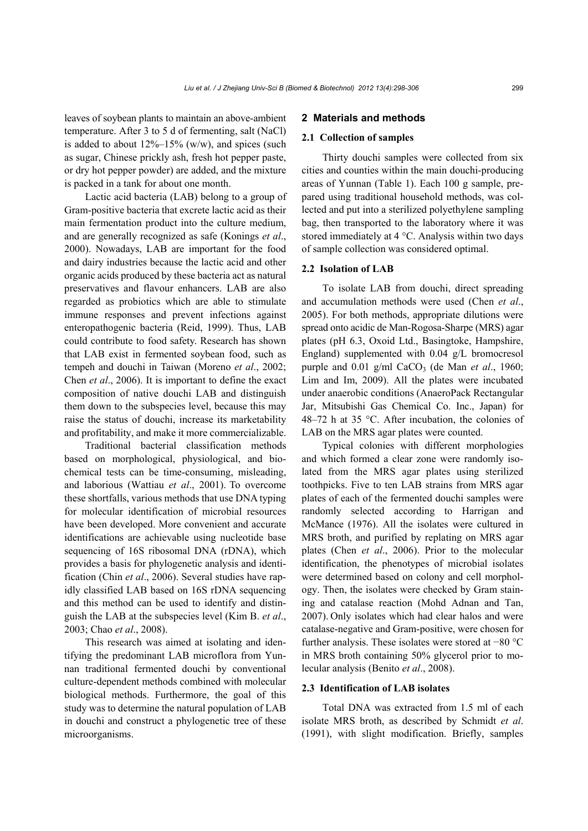leaves of soybean plants to maintain an above-ambient temperature. After 3 to 5 d of fermenting, salt (NaCl) is added to about  $12\% - 15\%$  (w/w), and spices (such as sugar, Chinese prickly ash, fresh hot pepper paste, or dry hot pepper powder) are added, and the mixture is packed in a tank for about one month.

Lactic acid bacteria (LAB) belong to a group of Gram-positive bacteria that excrete lactic acid as their main fermentation product into the culture medium, and are generally recognized as safe (Konings *et al*., 2000). Nowadays, LAB are important for the food and dairy industries because the lactic acid and other organic acids produced by these bacteria act as natural preservatives and flavour enhancers. LAB are also regarded as probiotics which are able to stimulate immune responses and prevent infections against enteropathogenic bacteria (Reid, 1999). Thus, LAB could contribute to food safety. Research has shown that LAB exist in fermented soybean food, such as tempeh and douchi in Taiwan (Moreno *et al*., 2002; Chen *et al*., 2006). It is important to define the exact composition of native douchi LAB and distinguish them down to the subspecies level, because this may raise the status of douchi, increase its marketability and profitability, and make it more commercializable.

Traditional bacterial classification methods based on morphological, physiological, and biochemical tests can be time-consuming, misleading, and laborious (Wattiau *et al*., 2001). To overcome these shortfalls, various methods that use DNA typing for molecular identification of microbial resources have been developed. More convenient and accurate identifications are achievable using nucleotide base sequencing of 16S ribosomal DNA (rDNA), which provides a basis for phylogenetic analysis and identification (Chin *et al*., 2006). Several studies have rapidly classified LAB based on 16S rDNA sequencing and this method can be used to identify and distinguish the LAB at the subspecies level (Kim B. *et al*., 2003; Chao *et al*., 2008).

This research was aimed at isolating and identifying the predominant LAB microflora from Yunnan traditional fermented douchi by conventional culture-dependent methods combined with molecular biological methods. Furthermore, the goal of this study was to determine the natural population of LAB in douchi and construct a phylogenetic tree of these microorganisms.

#### **2 Materials and methods**

#### **2.1 Collection of samples**

Thirty douchi samples were collected from six cities and counties within the main douchi-producing areas of Yunnan (Table 1). Each 100 g sample, prepared using traditional household methods, was collected and put into a sterilized polyethylene sampling bag, then transported to the laboratory where it was stored immediately at 4 °C. Analysis within two days of sample collection was considered optimal.

#### **2.2 Isolation of LAB**

To isolate LAB from douchi, direct spreading and accumulation methods were used (Chen *et al*., 2005). For both methods, appropriate dilutions were spread onto acidic de Man-Rogosa-Sharpe (MRS) agar plates (pH 6.3, Oxoid Ltd., Basingtoke, Hampshire, England) supplemented with 0.04 g/L bromocresol purple and  $0.01$  g/ml CaCO<sub>3</sub> (de Man *et al.*, 1960; Lim and Im, 2009). All the plates were incubated under anaerobic conditions (AnaeroPack Rectangular Jar, Mitsubishi Gas Chemical Co. Inc., Japan) for 48–72 h at 35  $\degree$ C. After incubation, the colonies of LAB on the MRS agar plates were counted.

Typical colonies with different morphologies and which formed a clear zone were randomly isolated from the MRS agar plates using sterilized toothpicks. Five to ten LAB strains from MRS agar plates of each of the fermented douchi samples were randomly selected according to Harrigan and McMance (1976). All the isolates were cultured in MRS broth, and purified by replating on MRS agar plates (Chen *et al*., 2006). Prior to the molecular identification, the phenotypes of microbial isolates were determined based on colony and cell morphology. Then, the isolates were checked by Gram staining and catalase reaction (Mohd Adnan and Tan, 2007). Only isolates which had clear halos and were catalase-negative and Gram-positive, were chosen for further analysis. These isolates were stored at −80 °C in MRS broth containing 50% glycerol prior to molecular analysis (Benito *et al*., 2008).

#### **2.3 Identification of LAB isolates**

Total DNA was extracted from 1.5 ml of each isolate MRS broth, as described by Schmidt *et al*. (1991), with slight modification. Briefly, samples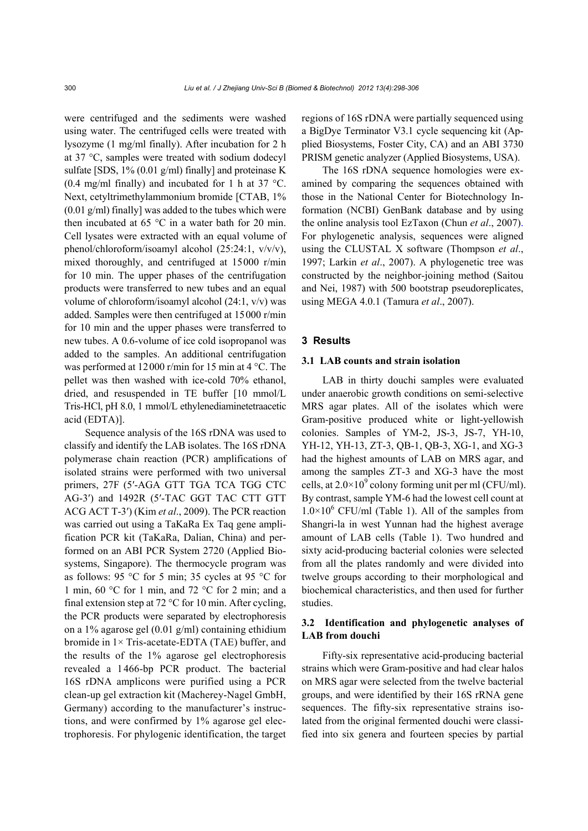were centrifuged and the sediments were washed using water. The centrifuged cells were treated with lysozyme (1 mg/ml finally). After incubation for 2 h at 37 °C, samples were treated with sodium dodecyl sulfate [SDS, 1% (0.01 g/ml) finally] and proteinase K (0.4 mg/ml finally) and incubated for 1 h at 37  $^{\circ}$ C. Next, cetyltrimethylammonium bromide [CTAB, 1% (0.01 g/ml) finally] was added to the tubes which were then incubated at 65  $\degree$ C in a water bath for 20 min. Cell lysates were extracted with an equal volume of phenol/chloroform/isoamyl alcohol (25:24:1, v/v/v), mixed thoroughly, and centrifuged at 15000 r/min for 10 min. The upper phases of the centrifugation products were transferred to new tubes and an equal volume of chloroform/isoamyl alcohol (24:1, v/v) was added. Samples were then centrifuged at 15000 r/min for 10 min and the upper phases were transferred to new tubes. A 0.6-volume of ice cold isopropanol was added to the samples. An additional centrifugation was performed at 12000 r/min for 15 min at 4 °C. The pellet was then washed with ice-cold 70% ethanol, dried, and resuspended in TE buffer [10 mmol/L Tris-HCl, pH 8.0, 1 mmol/L ethylenediaminetetraacetic acid (EDTA)].

Sequence analysis of the 16S rDNA was used to classify and identify the LAB isolates. The 16S rDNA polymerase chain reaction (PCR) amplifications of isolated strains were performed with two universal primers, 27F (5′-AGA GTT TGA TCA TGG CTC AG-3′) and 1492R (5′-TAC GGT TAC CTT GTT ACG ACT T-3′) (Kim *et al*., 2009). The PCR reaction was carried out using a TaKaRa Ex Taq gene amplification PCR kit (TaKaRa, Dalian, China) and performed on an ABI PCR System 2720 (Applied Biosystems, Singapore). The thermocycle program was as follows: 95 °C for 5 min; 35 cycles at 95 °C for 1 min, 60 °C for 1 min, and 72 °C for 2 min; and a final extension step at 72 °C for 10 min. After cycling, the PCR products were separated by electrophoresis on a 1% agarose gel (0.01 g/ml) containing ethidium bromide in 1× Tris-acetate-EDTA (TAE) buffer, and the results of the 1% agarose gel electrophoresis revealed a 1466-bp PCR product. The bacterial 16S rDNA amplicons were purified using a PCR clean-up gel extraction kit (Macherey-Nagel GmbH, Germany) according to the manufacturer's instructions, and were confirmed by 1% agarose gel electrophoresis. For phylogenic identification, the target

regions of 16S rDNA were partially sequenced using a BigDye Terminator V3.1 cycle sequencing kit (Applied Biosystems, Foster City, CA) and an ABI 3730 PRISM genetic analyzer (Applied Biosystems, USA).

The 16S rDNA sequence homologies were examined by comparing the sequences obtained with those in the National Center for Biotechnology Information (NCBI) GenBank database and by using the online analysis tool EzTaxon (Chun *et al*., 2007). For phylogenetic analysis, sequences were aligned using the CLUSTAL X software (Thompson *et al*., 1997; Larkin *et al*., 2007). A phylogenetic tree was constructed by the neighbor-joining method (Saitou and Nei, 1987) with 500 bootstrap pseudoreplicates, using MEGA 4.0.1 (Tamura *et al*., 2007).

# **3 Results**

## **3.1 LAB counts and strain isolation**

LAB in thirty douchi samples were evaluated under anaerobic growth conditions on semi-selective MRS agar plates. All of the isolates which were Gram-positive produced white or light-yellowish colonies. Samples of YM-2, JS-3, JS-7, YH-10, YH-12, YH-13, ZT-3, QB-1, QB-3, XG-1, and XG-3 had the highest amounts of LAB on MRS agar, and among the samples ZT-3 and XG-3 have the most cells, at  $2.0 \times 10^9$  colony forming unit per ml (CFU/ml). By contrast, sample YM-6 had the lowest cell count at  $1.0 \times 10^6$  CFU/ml (Table 1). All of the samples from Shangri-la in west Yunnan had the highest average amount of LAB cells (Table 1). Two hundred and sixty acid-producing bacterial colonies were selected from all the plates randomly and were divided into twelve groups according to their morphological and biochemical characteristics, and then used for further studies.

# **3.2 Identification and phylogenetic analyses of LAB from douchi**

Fifty-six representative acid-producing bacterial strains which were Gram-positive and had clear halos on MRS agar were selected from the twelve bacterial groups, and were identified by their 16S rRNA gene sequences. The fifty-six representative strains isolated from the original fermented douchi were classified into six genera and fourteen species by partial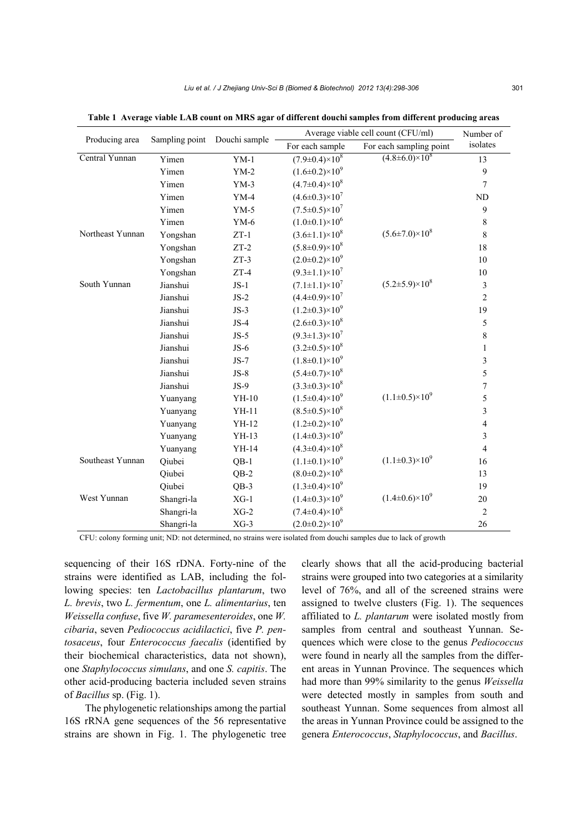| Producing area   | Sampling point Douchi sample |         | Average viable cell count (CFU/ml) | Number of                   |                          |
|------------------|------------------------------|---------|------------------------------------|-----------------------------|--------------------------|
|                  |                              |         | For each sample                    | For each sampling point     | isolates                 |
| Central Yunnan   | Yimen                        | $YM-1$  | $(7.9 \pm 0.4) \times 10^8$        | $(4.8 \pm 6.0) \times 10^8$ | 13                       |
|                  | Yimen                        | $YM-2$  | $(1.6\pm0.2)\times10^9$            |                             | 9                        |
|                  | Yimen                        | $YM-3$  | $(4.7\pm0.4)\times10^8$            |                             | 7                        |
|                  | Yimen                        | $YM-4$  | $(4.6\pm0.3)\times10^7$            |                             | <b>ND</b>                |
|                  | Yimen                        | $YM-5$  | $(7.5 \pm 0.5) \times 10^7$        |                             | 9                        |
|                  | Yimen                        | $YM-6$  | $(1.0\pm0.1)\times10^6$            |                             | 8                        |
| Northeast Yunnan | Yongshan                     | $ZT-1$  | $(3.6 \pm 1.1) \times 10^8$        | $(5.6 \pm 7.0) \times 10^8$ | 8                        |
|                  | Yongshan                     | $ZT-2$  | $(5.8 \pm 0.9) \times 10^8$        |                             | 18                       |
|                  | Yongshan                     | $ZT-3$  | $(2.0\pm0.2)\times10^9$            |                             | 10                       |
|                  | Yongshan                     | $ZT-4$  | $(9.3 \pm 1.1) \times 10^7$        |                             | 10                       |
| South Yunnan     | Jianshui                     | $JS-1$  | $(7.1 \pm 1.1) \times 10^7$        | $(5.2 \pm 5.9) \times 10^8$ | 3                        |
|                  | Jianshui                     | $JS-2$  | $(4.4\pm0.9)\times10^{7}$          |                             | $\overline{c}$           |
|                  | Jianshui                     | $JS-3$  | $(1.2\pm0.3)\times10^{9}$          |                             | 19                       |
|                  | Jianshui                     | $JS-4$  | $(2.6 \pm 0.3) \times 10^8$        |                             | 5                        |
|                  | Jianshui                     | $JS-5$  | $(9.3 \pm 1.3) \times 10^7$        |                             | 8                        |
|                  | Jianshui                     | $JS-6$  | $(3.2\pm0.5)\times10^8$            |                             | $\mathbf{1}$             |
|                  | Jianshui                     | $JS-7$  | $(1.8\pm0.1)\times10^{9}$          |                             | 3                        |
|                  | Jianshui                     | $JS-8$  | $(5.4 \pm 0.7) \times 10^8$        |                             | 5                        |
|                  | Jianshui                     | $JS-9$  | $(3.3\pm0.3)\times10^8$            |                             | $\overline{7}$           |
|                  | Yuanyang                     | YH-10   | $(1.5\pm0.4)\times10^{9}$          | $(1.1\pm0.5)\times10^{9}$   | 5                        |
|                  | Yuanyang                     | $YH-11$ | $(8.5\pm0.5)\times10^8$            |                             | 3                        |
|                  | Yuanyang                     | YH-12   | $(1.2\pm0.2)\times10^9$            |                             | $\overline{\mathcal{L}}$ |
|                  | Yuanyang                     | $YH-13$ | $(1.4\pm0.3)\times10^{9}$          |                             | 3                        |
|                  | Yuanyang                     | $YH-14$ | $(4.3 \pm 0.4) \times 10^8$        |                             | $\overline{4}$           |
| Southeast Yunnan | Qiubei                       | $QB-1$  | $(1.1\pm0.1)\times10^9$            | $(1.1\pm0.3)\times10^9$     | 16                       |
|                  | Qiubei                       | $QB-2$  | $(8.0 \pm 0.2) \times 10^8$        |                             | 13                       |
|                  | Qiubei                       | $QB-3$  | $(1.3\pm0.4)\times10^{9}$          |                             | 19                       |
| West Yunnan      | Shangri-la                   | $XG-1$  | $(1.4\pm0.3)\times10^{9}$          | $(1.4\pm0.6)\times10^{9}$   | 20                       |
|                  | Shangri-la                   | $XG-2$  | $(7.4 \pm 0.4) \times 10^8$        |                             | $\overline{2}$           |
|                  | Shangri-la                   | $XG-3$  | $(2.0\pm0.2)\times10^9$            |                             | 26                       |

**Table 1 Average viable LAB count on MRS agar of different douchi samples from different producing areas** 

CFU: colony forming unit; ND: not determined, no strains were isolated from douchi samples due to lack of growth

sequencing of their 16S rDNA. Forty-nine of the strains were identified as LAB, including the following species: ten *Lactobacillus plantarum*, two *L. brevis*, two *L. fermentum*, one *L. alimentarius*, ten *Weissella confuse*, five *W. paramesenteroides*, one *W. cibaria*, seven *Pediococcus acidilactici*, five *P. pentosaceus*, four *Enterococcus faecalis* (identified by their biochemical characteristics, data not shown), one *Staphylococcus simulans*, and one *S. capitis*. The other acid-producing bacteria included seven strains of *Bacillus* sp. (Fig. 1).

The phylogenetic relationships among the partial 16S rRNA gene sequences of the 56 representative strains are shown in Fig. 1. The phylogenetic tree clearly shows that all the acid-producing bacterial strains were grouped into two categories at a similarity level of 76%, and all of the screened strains were assigned to twelve clusters (Fig. 1). The sequences affiliated to *L. plantarum* were isolated mostly from samples from central and southeast Yunnan. Sequences which were close to the genus *Pediococcus*  were found in nearly all the samples from the different areas in Yunnan Province. The sequences which had more than 99% similarity to the genus *Weissella*  were detected mostly in samples from south and southeast Yunnan. Some sequences from almost all the areas in Yunnan Province could be assigned to the genera *Enterococcus*, *Staphylococcus*, and *Bacillus*.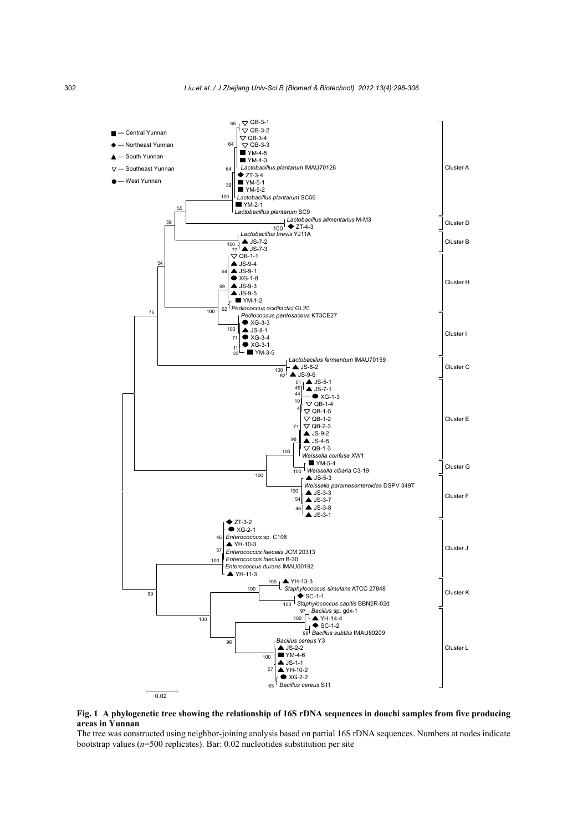

**Fig. 1 A phylogenetic tree showing the relationship of 16S rDNA sequences in douchi samples from five producing areas in Yunnan** 

The tree was constructed using neighbor-joining analysis based on partial 16S rDNA sequences. Numbers at nodes indicate bootstrap values (*n*=500 replicates). Bar: 0.02 nucleotides substitution per site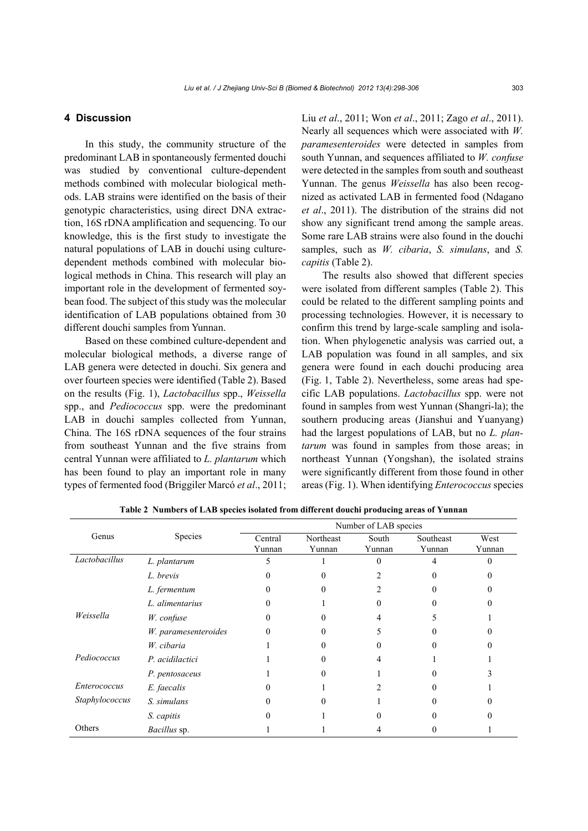# **4 Discussion**

In this study, the community structure of the predominant LAB in spontaneously fermented douchi was studied by conventional culture-dependent methods combined with molecular biological methods. LAB strains were identified on the basis of their genotypic characteristics, using direct DNA extraction, 16S rDNA amplification and sequencing. To our knowledge, this is the first study to investigate the natural populations of LAB in douchi using culturedependent methods combined with molecular biological methods in China. This research will play an important role in the development of fermented soybean food. The subject of this study was the molecular identification of LAB populations obtained from 30 different douchi samples from Yunnan.

Based on these combined culture-dependent and molecular biological methods, a diverse range of LAB genera were detected in douchi. Six genera and over fourteen species were identified (Table 2). Based on the results (Fig. 1), *Lactobacillus* spp., *Weissella* spp., and *Pediococcus* spp. were the predominant LAB in douchi samples collected from Yunnan, China. The 16S rDNA sequences of the four strains from southeast Yunnan and the five strains from central Yunnan were affiliated to *L. plantarum* which has been found to play an important role in many types of fermented food (Briggiler Marcó *et al*., 2011; Liu *et al*., 2011; Won *et al*., 2011; Zago *et al*., 2011). Nearly all sequences which were associated with *W. paramesenteroides* were detected in samples from south Yunnan, and sequences affiliated to *W. confuse*  were detected in the samples from south and southeast Yunnan. The genus *Weissella* has also been recognized as activated LAB in fermented food (Ndagano *et al*., 2011). The distribution of the strains did not show any significant trend among the sample areas. Some rare LAB strains were also found in the douchi samples, such as *W. cibaria*, *S. simulans*, and *S. capitis* (Table 2).

The results also showed that different species were isolated from different samples (Table 2). This could be related to the different sampling points and processing technologies. However, it is necessary to confirm this trend by large-scale sampling and isolation. When phylogenetic analysis was carried out, a LAB population was found in all samples, and six genera were found in each douchi producing area (Fig. 1, Table 2). Nevertheless, some areas had specific LAB populations. *Lactobacillus* spp. were not found in samples from west Yunnan (Shangri-la); the southern producing areas (Jianshui and Yuanyang) had the largest populations of LAB, but no *L. plantarum* was found in samples from those areas; in northeast Yunnan (Yongshan), the isolated strains were significantly different from those found in other areas (Fig. 1). When identifying *Enterococcus* species

|                |                      | Number of LAB species |                     |                 |                     |                |  |
|----------------|----------------------|-----------------------|---------------------|-----------------|---------------------|----------------|--|
| Genus          | Species              | Central<br>Yunnan     | Northeast<br>Yunnan | South<br>Yunnan | Southeast<br>Yunnan | West<br>Yunnan |  |
| Lactobacillus  | L. plantarum         |                       |                     | 0               |                     |                |  |
|                | L. brevis            |                       |                     |                 |                     |                |  |
|                | L. fermentum         |                       |                     |                 |                     |                |  |
|                | L. alimentarius      |                       |                     |                 |                     |                |  |
| Weissella      | W. confuse           |                       |                     |                 |                     |                |  |
|                | W. paramesenteroides |                       |                     |                 |                     |                |  |
|                | W. cibaria           |                       |                     |                 |                     |                |  |
| Pediococcus    | P. acidilactici      |                       |                     |                 |                     |                |  |
|                | P. pentosaceus       |                       |                     |                 |                     |                |  |
| Enterococcus   | E. faecalis          |                       |                     |                 |                     |                |  |
| Staphylococcus | S. simulans          |                       |                     |                 |                     |                |  |
|                | S. capitis           |                       |                     |                 |                     |                |  |
| Others         | Bacillus sp.         |                       |                     |                 |                     |                |  |

**Table 2 Numbers of LAB species isolated from different douchi producing areas of Yunnan**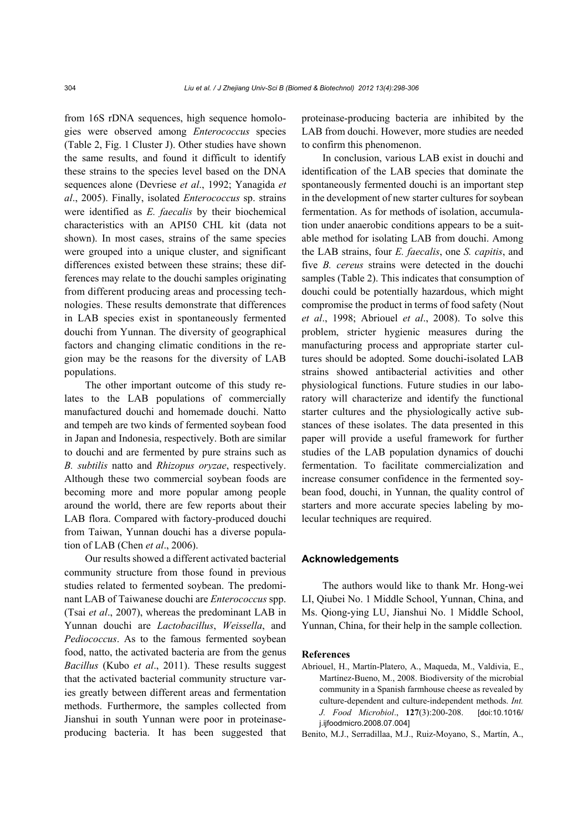from 16S rDNA sequences, high sequence homologies were observed among *Enterococcus* species (Table 2, Fig. 1 Cluster J). Other studies have shown the same results, and found it difficult to identify these strains to the species level based on the DNA sequences alone (Devriese *et al*., 1992; Yanagida *et al*., 2005). Finally, isolated *Enterococcus* sp. strains were identified as *E. faecalis* by their biochemical characteristics with an API50 CHL kit (data not shown). In most cases, strains of the same species were grouped into a unique cluster, and significant differences existed between these strains; these differences may relate to the douchi samples originating from different producing areas and processing technologies. These results demonstrate that differences in LAB species exist in spontaneously fermented douchi from Yunnan. The diversity of geographical factors and changing climatic conditions in the region may be the reasons for the diversity of LAB populations.

The other important outcome of this study relates to the LAB populations of commercially manufactured douchi and homemade douchi. Natto and tempeh are two kinds of fermented soybean food in Japan and Indonesia, respectively. Both are similar to douchi and are fermented by pure strains such as *B. subtilis* natto and *Rhizopus oryzae*, respectively. Although these two commercial soybean foods are becoming more and more popular among people around the world, there are few reports about their LAB flora. Compared with factory-produced douchi from Taiwan, Yunnan douchi has a diverse population of LAB (Chen *et al*., 2006).

Our results showed a different activated bacterial community structure from those found in previous studies related to fermented soybean. The predominant LAB of Taiwanese douchi are *Enterococcus* spp. (Tsai *et al*., 2007), whereas the predominant LAB in Yunnan douchi are *Lactobacillus*, *Weissella*, and *Pediococcus*. As to the famous fermented soybean food, natto, the activated bacteria are from the genus *Bacillus* (Kubo *et al*., 2011). These results suggest that the activated bacterial community structure varies greatly between different areas and fermentation methods. Furthermore, the samples collected from Jianshui in south Yunnan were poor in proteinaseproducing bacteria. It has been suggested that proteinase-producing bacteria are inhibited by the LAB from douchi. However, more studies are needed to confirm this phenomenon.

In conclusion, various LAB exist in douchi and identification of the LAB species that dominate the spontaneously fermented douchi is an important step in the development of new starter cultures for soybean fermentation. As for methods of isolation, accumulation under anaerobic conditions appears to be a suitable method for isolating LAB from douchi. Among the LAB strains, four *E. faecalis*, one *S. capitis*, and five *B. cereus* strains were detected in the douchi samples (Table 2). This indicates that consumption of douchi could be potentially hazardous, which might compromise the product in terms of food safety (Nout *et al*., 1998; Abriouel *et al*., 2008). To solve this problem, stricter hygienic measures during the manufacturing process and appropriate starter cultures should be adopted. Some douchi-isolated LAB strains showed antibacterial activities and other physiological functions. Future studies in our laboratory will characterize and identify the functional starter cultures and the physiologically active substances of these isolates. The data presented in this paper will provide a useful framework for further studies of the LAB population dynamics of douchi fermentation. To facilitate commercialization and increase consumer confidence in the fermented soybean food, douchi, in Yunnan, the quality control of starters and more accurate species labeling by molecular techniques are required.

## **Acknowledgements**

The authors would like to thank Mr. Hong-wei LI, Qiubei No. 1 Middle School, Yunnan, China, and Ms. Qiong-ying LU, Jianshui No. 1 Middle School, Yunnan, China, for their help in the sample collection.

#### **References**

Abriouel, H., Martín-Platero, A., Maqueda, M., Valdivia, E., Martínez-Bueno, M., 2008. Biodiversity of the microbial community in a Spanish farmhouse cheese as revealed by culture-dependent and culture-independent methods. *Int. J. Food Microbiol*., **127**(3):200-208. [doi:10.1016/ j.ijfoodmicro.2008.07.004]

Benito, M.J., Serradillaa, M.J., Ruiz-Moyano, S., Martín, A.,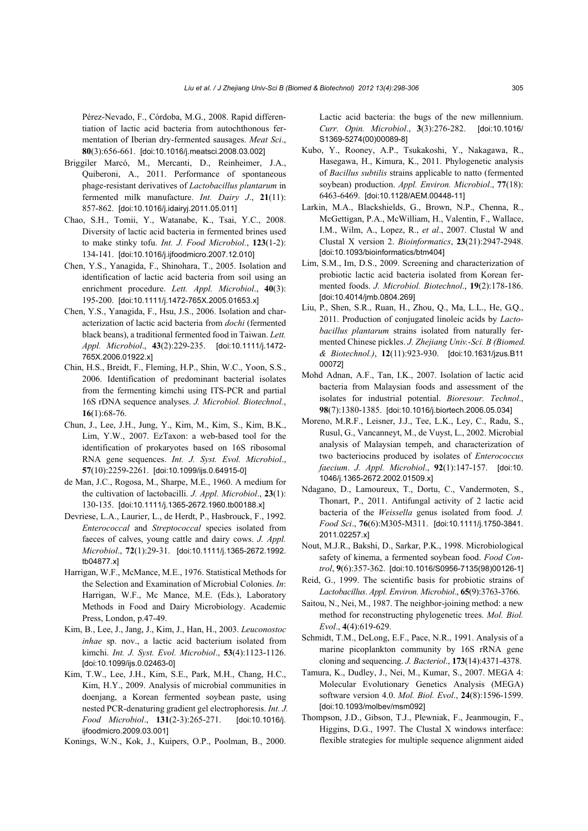Pérez-Nevado, F., Córdoba, M.G., 2008. Rapid differentiation of lactic acid bacteria from autochthonous fermentation of Iberian dry-fermented sausages. *Meat Sci*., **80**(3):656-661. [doi:10.1016/j.meatsci.2008.03.002]

- Briggiler Marcó, M., Mercanti, D., Reinheimer, J.A., Quiberoni, A., 2011. Performance of spontaneous phage-resistant derivatives of *Lactobacillus plantarum* in fermented milk manufacture. *Int. Dairy J*., **21**(11): 857-862. [doi:10.1016/j.idairyj.2011.05.011]
- Chao, S.H., Tomii, Y., Watanabe, K., Tsai, Y.C., 2008. Diversity of lactic acid bacteria in fermented brines used to make stinky tofu. *Int. J. Food Microbiol.*, **123**(1-2): 134-141. [doi:10.1016/j.ijfoodmicro.2007.12.010]
- Chen, Y.S., Yanagida, F., Shinohara, T., 2005. Isolation and identification of lactic acid bacteria from soil using an enrichment procedure. *Lett. Appl. Microbiol*., **40**(3): 195-200. [doi:10.1111/j.1472-765X.2005.01653.x]
- Chen, Y.S., Yanagida, F., Hsu, J.S., 2006. Isolation and characterization of lactic acid bacteria from *dochi* (fermented black beans), a traditional fermented food in Taiwan. *Lett. Appl. Microbiol*., **43**(2):229-235. [doi:10.1111/j.1472- 765X.2006.01922.x]
- Chin, H.S., Breidt, F., Fleming, H.P., Shin, W.C., Yoon, S.S., 2006. Identification of predominant bacterial isolates from the fermenting kimchi using ITS-PCR and partial 16S rDNA sequence analyses. *J. Microbiol. Biotechnol.*, **16**(1):68-76.
- Chun, J., Lee, J.H., Jung, Y., Kim, M., Kim, S., Kim, B.K., Lim, Y.W., 2007. EzTaxon: a web-based tool for the identification of prokaryotes based on 16S ribosomal RNA gene sequences. *Int. J. Syst. Evol. Microbiol*., **57**(10):2259-2261. [doi:10.1099/ijs.0.64915-0]
- de Man, J.C., Rogosa, M., Sharpe, M.E., 1960. A medium for the cultivation of lactobacilli. *J. Appl. Microbiol*., **23**(1): 130-135. [doi:10.1111/j.1365-2672.1960.tb00188.x]
- Devriese, L.A., Laurier, L., de Herdt, P., Hasbrouck, F., 1992. *Enterococcal* and *Streptococcal* species isolated from faeces of calves, young cattle and dairy cows. *J. Appl. Microbiol*., **72**(1):29-31. [doi:10.1111/j.1365-2672.1992. tb04877.x]
- Harrigan, W.F., McMance, M.E., 1976. Statistical Methods for the Selection and Examination of Microbial Colonies. *In*: Harrigan, W.F., Mc Mance, M.E. (Eds.), Laboratory Methods in Food and Dairy Microbiology. Academic Press, London, p.47-49.
- Kim, B., Lee, J., Jang, J., Kim, J., Han, H., 2003. *Leuconostoc inhae* sp. nov., a lactic acid bacterium isolated from kimchi. *Int. J. Syst. Evol. Microbiol*., **53**(4):1123-1126. [doi:10.1099/ijs.0.02463-0]
- Kim, T.W., Lee, J.H., Kim, S.E., Park, M.H., Chang, H.C., Kim, H.Y., 2009. Analysis of microbial communities in doenjang, a Korean fermented soybean paste, using nested PCR-denaturing gradient gel electrophoresis. *Int. J. Food Microbiol*., **131**(2-3):265-271. [doi:10.1016/j. iifoodmicro.2009.03.0011
- Konings, W.N., Kok, J., Kuipers, O.P., Poolman, B., 2000.

Lactic acid bacteria: the bugs of the new millennium. *Curr. Opin. Microbiol*., **3**(3):276-282. [doi:10.1016/ S1369-5274(00)00089-8]

- Kubo, Y., Rooney, A.P., Tsukakoshi, Y., Nakagawa, R., Hasegawa, H., Kimura, K., 2011. Phylogenetic analysis of *Bacillus subtilis* strains applicable to natto (fermented soybean) production. *Appl. Environ. Microbiol*., **77**(18): 6463-6469. [doi:10.1128/AEM.00448-11]
- Larkin, M.A., Blackshields, G., Brown, N.P., Chenna, R., McGettigan, P.A., McWilliam, H., Valentin, F., Wallace, I.M., Wilm, A., Lopez, R., *et al*., 2007. Clustal W and Clustal X version 2. *Bioinformatics*, **23**(21):2947-2948. [doi:10.1093/bioinformatics/btm404]
- Lim, S.M., Im, D.S., 2009. Screening and characterization of probiotic lactic acid bacteria isolated from Korean fermented foods. *J. Microbiol. Biotechnol*., **19**(2):178-186. [doi:10.4014/jmb.0804.269]
- Liu, P., Shen, S.R., Ruan, H., Zhou, Q., Ma, L.L., He, G.Q., 2011. Production of conjugated linoleic acids by *Lactobacillus plantarum* strains isolated from naturally fermented Chinese pickles. *J. Zhejiang Univ.-Sci. B (Biomed. & Biotechnol.)*, **12**(11):923-930. [doi:10.1631/jzus.B11 00072]
- Mohd Adnan, A.F., Tan, I.K., 2007. Isolation of lactic acid bacteria from Malaysian foods and assessment of the isolates for industrial potential. *Bioresour. Technol*., **98**(7):1380-1385. [doi:10.1016/j.biortech.2006.05.034]
- Moreno, M.R.F., Leisner, J.J., Tee, L.K., Ley, C., Radu, S., Rusul, G., Vancanneyt, M., de Vuyst, L., 2002. Microbial analysis of Malaysian tempeh, and characterization of two bacteriocins produced by isolates of *Enterococcus faecium*. *J. Appl. Microbiol*., **92**(1):147-157. [doi:10. 1046/j.1365-2672.2002.01509.x]
- Ndagano, D., Lamoureux, T., Dortu, C., Vandermoten, S., Thonart, P., 2011. Antifungal activity of 2 lactic acid bacteria of the *Weissella* genus isolated from food. *J. Food Sci*., **76**(6):M305-M311. [doi:10.1111/j.1750-3841. 2011.02257.x]
- Nout, M.J.R., Bakshi, D., Sarkar, P.K., 1998. Microbiological safety of kinema, a fermented soybean food. *Food Control*, **9**(6):357-362. [doi:10.1016/S0956-7135(98)00126-1]
- Reid, G., 1999. The scientific basis for probiotic strains of *Lactobacillus*. *Appl. Environ. Microbiol*., **65**(9):3763-3766.
- Saitou, N., Nei, M., 1987. The neighbor-joining method: a new method for reconstructing phylogenetic trees. *Mol. Biol. Evol*., **4**(4):619-629.
- Schmidt, T.M., DeLong, E.F., Pace, N.R., 1991. Analysis of a marine picoplankton community by 16S rRNA gene cloning and sequencing. *J. Bacteriol*., **173**(14):4371-4378.
- Tamura, K., Dudley, J., Nei, M., Kumar, S., 2007. MEGA 4: Molecular Evolutionary Genetics Analysis (MEGA) software version 4.0. *Mol. Biol. Evol*., **24**(8):1596-1599. [doi:10.1093/molbev/msm092]
- Thompson, J.D., Gibson, T.J., Plewniak, F., Jeanmougin, F., Higgins, D.G., 1997. The Clustal X windows interface: flexible strategies for multiple sequence alignment aided